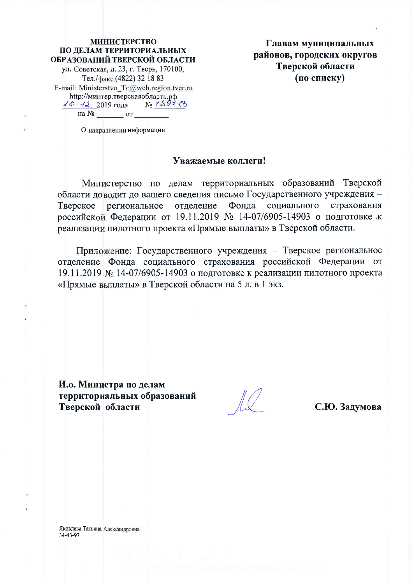### **МИНИСТЕРСТВО** ПО ДЕЛАМ ТЕРРИТОРИАЛЬНЫХ ОБРАЗОВАНИЙ ТВЕРСКОЙ ОБЛАСТИ ул. Советская, д. 23, г. Тверь, 170100, Тел./факс (4822) 32 18 83 E-mail: Ministerstvo To@web.region.tver.ru http://минтер.тверскаяобласть.рф  $N_2 7897$  $40.42.2019$  года на  $N_2$  от

Главам муниципальных районов, городских округов Тверской области (по списку)

О направлении информации

### Уважаемые коллеги!

Министерство по делам территориальных образований Тверской области доводит до вашего сведения письмо Государственного учреждения -Тверское региональное отделение Фонда социального страхования российской Федерации от 19.11.2019 № 14-07/6905-14903 о подготовке к реализации пилотного проекта «Прямые выплаты» в Тверской области.

Приложение: Государственного учреждения - Тверское региональное отделение Фонда социального страхования российской Федерации от 19.11.2019 № 14-07/6905-14903 о подготовке к реализации пилотного проекта «Прямые выплаты» в Тверской области на 5 л. в 1 экз.

И.о. Министра по делам территориальных образований Тверской области

С.Ю. Задумова

Яковлева Татьяна Александровна 34-43-97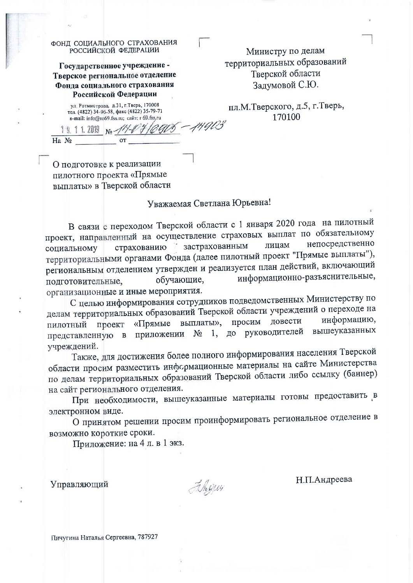|              | ФОНД СОЦИАЛЬНОГО СТРАХОВАНИЯ                                                                                                         |  |
|--------------|--------------------------------------------------------------------------------------------------------------------------------------|--|
|              | РОССИЙСКОЙ ФЕДЕРАЦИИ                                                                                                                 |  |
|              | Государственное учреждение -                                                                                                         |  |
|              | Тверское региональное отделение                                                                                                      |  |
|              | Фонда социального страхования                                                                                                        |  |
|              | Российской Федерации                                                                                                                 |  |
|              | ул. Ротмистрова, д.31, г. Тверь, 170008<br>тел. (4822) 34-96-58, факс (4822) 35-79-71<br>e-mail: info@ro69.fss.ru; caйт: r 69.fss.ru |  |
| 19, 11, 2019 | No-                                                                                                                                  |  |
| $Ha$ $N_2$   | OТ                                                                                                                                   |  |
|              |                                                                                                                                      |  |

О подготовке к реализации пилотного проекта «Прямые выплаты» в Тверской области

### Министру по делам территориальных образований Тверской области Задумовой С.Ю.

пл.М.Тверского, д.5, г.Тверь, 170100

### Уважаемая Светлана Юрьевна!

В связи с переходом Тверской области с 1 января 2020 года на пилотный проект, направленный на осуществление страховых выплат по обязательному непосредственно страхованию застрахованным лицам социальному территориальными органами Фонда (далее пилотный проект "Прямые выплаты"), региональным отделением утвержден и реализуется план действий, включающий информационно-разъяснительные, обучающие, подготовительные, организационные и иные мероприятия.

С целью информирования сотрудников подведомственных Министерству по делам территориальных образований Тверской области учреждений о переходе на просим довести информацию, «Прямые выплаты», проект пилотный приложении № 1, до руководителей вышеуказанных представленную в учреждений.

Также, для достижения более полного информирования населения Тверской области просим разместить информационные материалы на сайте Министерства по делам территориальных образований Тверской области либо ссылку (баннер) на сайт регионального отделения.

При необходимости, вышеуказанные материалы готовы предоставить в электронном виде.

О принятом решении просим проинформировать региональное отделение в возможно короткие сроки.

Приложение: на 4 л. в 1 экз.

Управляющий

Filigjay

Н.П.Андреева

Пичугина Наталья Сергеевна, 787927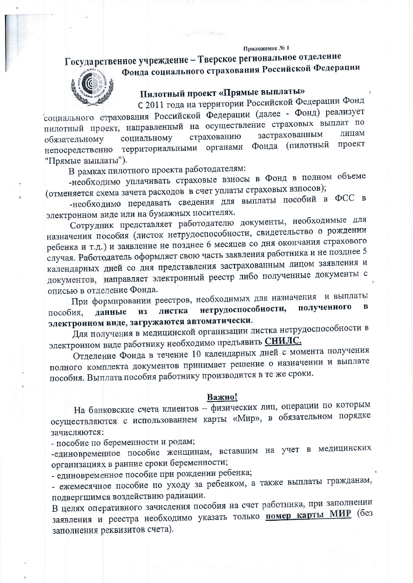#### Приложение № 1

## Государственное учреждение - Тверское региональное отделение Фонда социального страхования Российской Федерации



## Пилотный проект «Прямые выплаты»

С 2011 года на территории Российской Федерации Фонд

социального страхования Российской Федерации (далее - Фонд) реализует пилотный проект, направленный на осуществление страховых выплат по застрахованным лицам страхованию социальному обязательному Фонда (пилотный проект непосредственно территориальными органами "Прямые выплаты").

В рамках пилотного проекта работодателям:

-необходимо уплачивать страховые взносы в Фонд в полном объеме (отменяется схема зачета расходов в счет уплаты страховых взносов);

-необходимо передавать сведения для выплаты пособий в ФСС в электронном виде или на бумажных носителях.

Сотрудник представляет работодателю документы, необходимые для назначения пособия (листок нетрудоспособности, свидетельство о рождении ребенка и т.д.) и заявление не позднее 6 месяцев со дня окончания страхового случая. Работодатель оформляет свою часть заявления работника и не позднее 5 календарных дней со дня представления застрахованным лицом заявления и документов, направляет электронный реестр либо полученные документы с описью в отделение Фонда.

При формировании реестров, необходимых для назначения и выплаты нетрудоспособности, полученного  $\bf{B}$ листка пособия. данные **ИЗ** электронном виде, загружаются автоматически.

Для получения в медицинской организации листка нетрудоспособности в электронном виде работнику необходимо предъявить СНИЛС.

Отделение Фонда в течение 10 календарных дней с момента получения полного комплекта документов принимает решение о назначении и выплате пособия. Выплата пособия работнику производится в те же сроки.

### Важно!

На банковские счета клиентов - физических лиц, операции по которым осуществляются с использованием карты «Мир», в обязательном порядке зачисляются:

- пособие по беременности и родам;

-единовременное пособие женщинам, вставшим на учет в медицинских организациях в ранние сроки беременности;

- единовременное пособие при рождении ребенка;

- ежемесячное пособие по уходу за ребенком, а также выплаты гражданам, подвергшимся воздействию радиации.

В целях оперативного зачисления пособия на счет работника, при заполнении заявления и реестра необходимо указать только номер карты МИР (без заполнения реквизитов счета).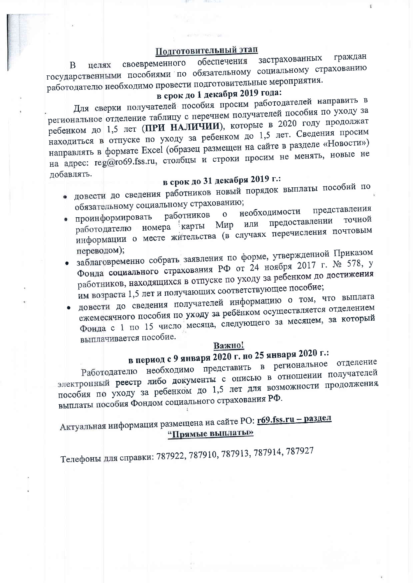### Подготовительный этап

граждан застрахованных обеспечения своевременного целях B государственными пособиями по обязательному социальному страхованию работодателю необходимо провести подготовительные мероприятия.

## в срок до 1 декабря 2019 года:

Для сверки получателей пособия просим работодателей направить в региональное отделение таблицу с перечнем получателей пособия по уходу за ребенком до 1,5 лет (ПРИ НАЛИЧИИ), которые в 2020 году продолжат находиться в отпуске по уходу за ребенком до 1,5 лет. Сведения просим направлять в формате Excel (образец размещен на сайте в разделе «Новости») на адрес: reg@ro69.fss.ru, столбцы и строки просим не менять, новые не добавлять.

## в срок до 31 декабря 2019 г.:

- довести до сведения работников новый порядок выплаты пособий по обязательному социальному страхованию; представления
- необходимости работников  $\overline{O}$ проинформировать предоставлении точной номера карты Мир или работодателю информации о месте жительства (в случаях перечисления почтовым переводом);
- заблаговременно собрать заявления по форме, утвержденной Приказом Фонда социального страхования РФ от 24 ноября 2017 г. № 578, у работников, находящихся в отпуске по уходу за ребенком до достижения им возраста 1,5 лет и получающих соответствующее пособие;
- довести до сведения получателей информацию о том, что выплата ежемесячного пособия по уходу за ребёнком осуществляется отделением Фонда с 1 по 15 число месяца, следующего за месяцем, за который выплачивается пособие.

#### Важно!

# в период с 9 января 2020 г. по 25 января 2020 г.:

Работодателю необходимо представить в региональное отделение электронный реестр либо документы с описью в отношении получателей пособия по уходу за ребенком до 1,5 лет для возможности продолжения выплаты пособия Фондом социального страхования РФ.

Актуальная информация размещена на сайте PO: r69.fss.ru - раздел "Прямые выплаты»

Телефоны для справки: 787922, 787910, 787913, 787914, 787927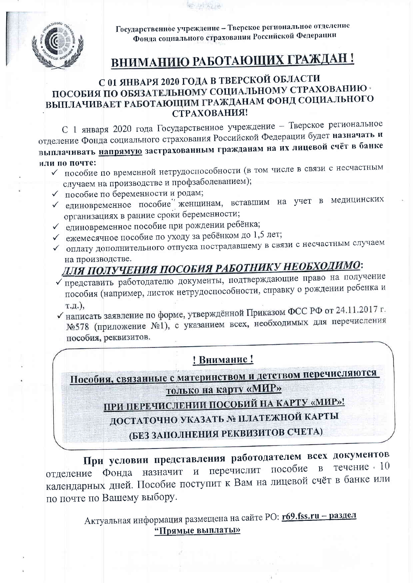**经中国的社会** 



Государственное учреждение - Тверское региональное отделение Фонда социального страхования Российской Федерации

# ВНИМАНИЮ РАБОТАЮЩИХ ГРАЖДАН!

### С 01 ЯНВАРЯ 2020 ГОДА В ТВЕРСКОЙ ОБЛАСТИ ПОСОБИЯ ПО ОБЯЗАТЕЛЬНОМУ СОЦИАЛЬНОМУ СТРАХОВАНИЮ ВЫПЛАЧИВАЕТ РАБОТАЮЩИМ ГРАЖДАНАМ ФОНД СОЦИАЛЬНОГО СТРАХОВАНИЯ!

С 1 января 2020 года Государственное учреждение - Тверское региональное отделение Фонда социального страхования Российской Федерации будет назначать и выплачивать напрямую застрахованным гражданам на их лицевой счёт в банке или по почте:

- √ пособие по временной нетрудоспособности (в том числе в связи с несчастным случаем на производстве и профзаболеванием);
- √ пособие по беременности и родам;
- √ единовременное пособие женщинам, вставшим на учет в медицинских организациях в ранние сроки беременности;
- √ единовременное пособие при рождении ребёнка;
- ◆ ежемесячное пособие по уходу за ребёнком до 1,5 лет;
- √ оплату дополнительного отпуска пострадавшему в связи с несчастным случаем на производстве.

# <u>ДЛЯ ПОЛУЧЕНИЯ ПОСОБИЯ РАБОТНИКУ НЕОБХОДИМО</u>:

- Представить работодателю документы, подтверждающие право на получение пособия (например, листок нетрудоспособности, справку о рождении ребенка и т.д.),
- √ написать заявление по форме, утверждённой Приказом ФСС РФ от 24.11.2017 г. №578 (приложение №1), с указанием всех, необходимых для перечисления пособия, реквизитов.

### ! Внимание!

Пособия, связанные с материнством и детством перечисляются <u>только на карту «МИР»</u>

<u>ПРИ ПЕРЕЧИСЛЕНИИ ПОСОБИЙ НА КАРТУ «МИР»!</u>

ДОСТАТОЧНО УКАЗАТЬ № ПЛАТЕЖНОЙ КАРТЫ

(БЕЗ ЗАПОЛНЕНИЯ РЕКВИЗИТОВ СЧЕТА)

При условии представления работодателем всех документов течение 10 перечислит пособие  $\overline{B}$ Фонда назначит  $\mathbf{M}$ отлеление календарных дней. Пособие поступит к Вам на лицевой счёт в банке или по почте по Вашему выбору.

> Актуальная информация размещена на сайте PO: r69.fss.ru - раздел "Прямые выплаты»